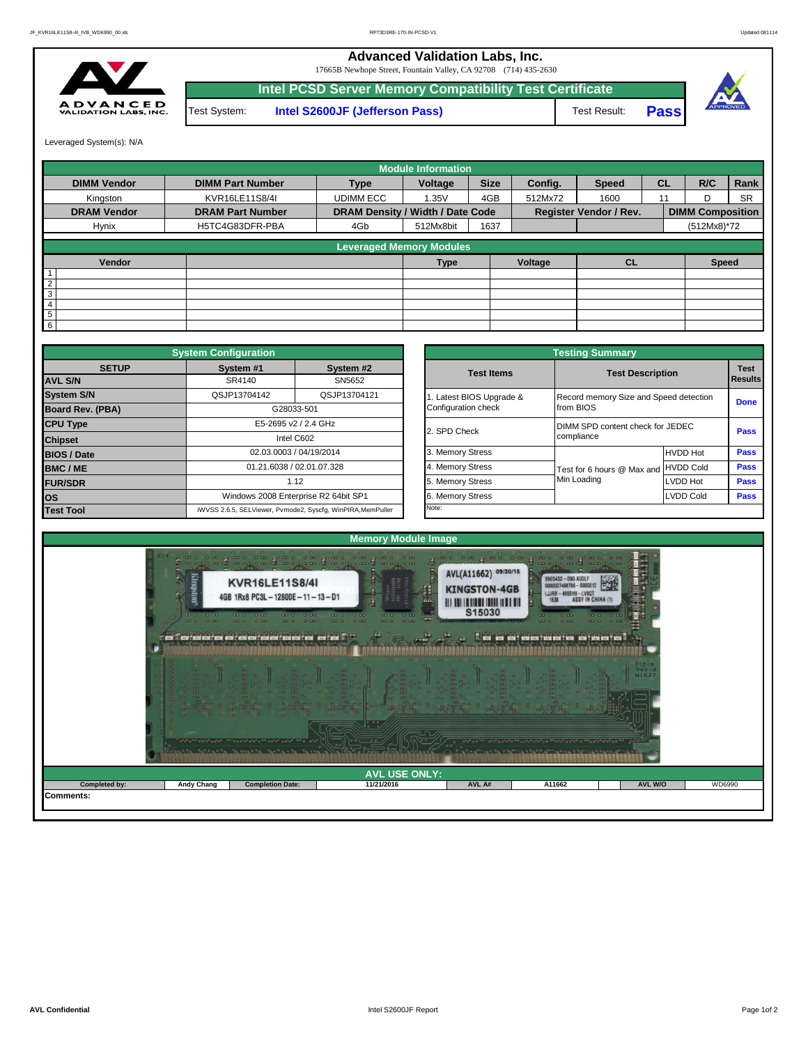**Advanced Validation Labs, Inc.** 

**ADVANCE**<br>VALIDATION LABS, IN

|               |              | 17665B Newhope Street, Fountain Valley, CA 92708 (714) 435-2630 |                     |             |
|---------------|--------------|-----------------------------------------------------------------|---------------------|-------------|
|               |              | Intel PCSD Server Memory Compatibility Test Certificate         |                     |             |
| <b>D</b><br>- | Test System: | Intel S2600JF (Jefferson Pass)                                  | <b>Test Result:</b> | <b>Pass</b> |



Leveraged System(s): N/A

|                    |                         |                                  | <b>Module Information</b> |             |         |                               |           |                         |           |
|--------------------|-------------------------|----------------------------------|---------------------------|-------------|---------|-------------------------------|-----------|-------------------------|-----------|
| <b>DIMM Vendor</b> | <b>DIMM Part Number</b> | <b>Type</b>                      | Voltage                   | <b>Size</b> | Config. | <b>Speed</b>                  | <b>CL</b> | R/C                     | Rank      |
| Kingston           | KVR16LE11S8/4I          | <b>UDIMM ECC</b>                 | 1.35V                     | 4GB         | 512Mx72 | 1600                          | 11        | D                       | <b>SR</b> |
| <b>DRAM Vendor</b> | <b>DRAM Part Number</b> | DRAM Density / Width / Date Code |                           |             |         | <b>Register Vendor / Rev.</b> |           | <b>DIMM Composition</b> |           |
| Hynix              | H5TC4G83DFR-PBA         | 4Gb                              | 512Mx8bit                 | 1637        |         |                               |           | (512Mx8)*72             |           |
|                    |                         | <b>Leveraged Memory Modules</b>  |                           |             |         |                               |           |                         |           |
|                    |                         |                                  |                           |             |         |                               |           |                         |           |
| Vendor             |                         |                                  | <b>Type</b>               |             | Voltage | <b>CL</b>                     |           | <b>Speed</b>            |           |
|                    |                         |                                  |                           |             |         |                               |           |                         |           |
| $\overline{2}$     |                         |                                  |                           |             |         |                               |           |                         |           |
| 3                  |                         |                                  |                           |             |         |                               |           |                         |           |
| 4                  |                         |                                  |                           |             |         |                               |           |                         |           |
| 5                  |                         |                                  |                           |             |         |                               |           |                         |           |
| 6                  |                         |                                  |                           |             |         |                               |           |                         |           |

| <b>System Configuration</b> |                                              |                                                             |  | <b>Testing Summary</b> |                                                     |                  |                       |  |
|-----------------------------|----------------------------------------------|-------------------------------------------------------------|--|------------------------|-----------------------------------------------------|------------------|-----------------------|--|
| <b>SETUP</b>                | System #1                                    | System #2                                                   |  | <b>Test Items</b>      | <b>Test Description</b>                             |                  | <b>Test</b><br>Result |  |
| <b>AVL S/N</b>              | SR4140                                       | SN5652                                                      |  |                        |                                                     |                  |                       |  |
| <b>System S/N</b>           | QSJP13704142                                 | QSJP13704121                                                |  | Latest BIOS Upgrade &  | Record memory Size and Speed detection<br>from BIOS |                  | Done                  |  |
| <b>Board Rev. (PBA)</b>     |                                              | G28033-501                                                  |  | Configuration check    |                                                     |                  |                       |  |
| <b>CPU Type</b>             | E5-2695 v2 / 2.4 GHz                         |                                                             |  | 2. SPD Check           | DIMM SPD content check for JEDEC<br>compliance      |                  | Pass                  |  |
| <b>Chipset</b>              | Intel C602                                   |                                                             |  |                        |                                                     |                  |                       |  |
| <b>BIOS / Date</b>          | 02.03.0003 / 04/19/2014                      |                                                             |  | 3. Memory Stress       |                                                     | <b>HVDD Hot</b>  | Pass                  |  |
| <b>BMC/ME</b>               | 01.21.6038 / 02.01.07.328                    |                                                             |  | 4. Memory Stress       | Test for 6 hours @ Max and HVDD Cold                |                  | Pass                  |  |
| <b>FUR/SDR</b>              | 1.12<br>Windows 2008 Enterprise R2 64bit SP1 |                                                             |  | 5. Memory Stress       | Min Loading                                         | LVDD Hot         | Pass                  |  |
| <b>los</b>                  |                                              |                                                             |  | 6. Memory Stress       |                                                     | <b>LVDD Cold</b> | Pass                  |  |
| <b>Test Tool</b>            |                                              | iWVSS 2.6.5, SELViewer, Pvmode2, Syscfq, WinPIRA, MemPuller |  | Note:                  |                                                     |                  |                       |  |

|                        |                                                | <b>Testing Summary</b>                              |                  |                               |
|------------------------|------------------------------------------------|-----------------------------------------------------|------------------|-------------------------------|
| System #2<br>SN5652    | <b>Test Items</b>                              | <b>Test Description</b>                             |                  | <b>Test</b><br><b>Results</b> |
| QSJP13704121           | . Latest BIOS Upgrade &<br>Configuration check | Record memory Size and Speed detection<br>from BIOS |                  | <b>Done</b>                   |
| <b>GHz</b>             | 2. SPD Check                                   | DIMM SPD content check for JEDEC<br>compliance      |                  | Pass                          |
| /2014                  | 3. Memory Stress                               |                                                     | <b>HVDD Hot</b>  | Pass                          |
| 17.328                 | 4. Memory Stress                               | Test for 6 hours @ Max and                          | <b>HVDD Cold</b> | Pass                          |
|                        | 5. Memory Stress                               | Min Loading                                         | LVDD Hot         | Pass                          |
| R2 64bit SP1           | 6. Memory Stress                               |                                                     | <b>LVDD Cold</b> | Pass                          |
| cfa. WinPIRA.MemPuller | Note:                                          |                                                     |                  |                               |